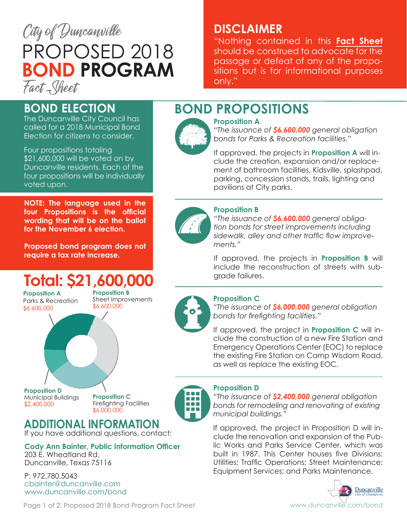

# **DISCLAIMER**

"Nothing contained in this **Fact Sheet** should be construed to advocate for the passage or defeat of any of the propositions but is for informational purposes only."

# **BOND ELECTION**

The Duncanville City Council has called for a 2018 Municipal Bond Election for citizens to consider.

Four propositions totaling \$21,600,000 will be voted on by Duncanville residents. Each of the four propositions will be individually voted upon.

**NOTE: The language used in the four Propositions is the official wording that will be on the ballot for the November 6 election.**

**Proposed bond program does not require a tax rate increase.**

# **Total: \$21,600,000**

**Proposition A** Parks & Recreation \$6,600,000

**Proposition B** Street Improvements \$6,600,000

**Proposition D** Municipal Buildings \$2,400,000

**Proposition C** Firefighting Facilities \$6,000,000



# **ADDITIONAL INFORMATION**

If you have additional questions, contact:

**Cody Ann Bainter, Public Information Officer** 203 E. Wheatland Rd. Duncanville, Texas 75116

P: 972.780.5043 cbainter@duncanville.com www.duncanville.com/bond

### **Proposition D**

*"The issuance of \$2,400,000 general obligation bonds for remodeling and renovating of existing municipal buildings."* 

If approved, the project in Proposition D will include the renovation and expansion of the Public Works and Parks Service Center, which was built in 1987. This Center houses five Divisions: Utilities; Traffic Operations; Street Maintenance; Equipment Services; and Parks Maintenance.



# **BOND PROPOSITIONS**



**Proposition A**  *"The issuance of \$6,600,000 general obligation bonds for Parks & Recreation facilities."*

If approved, the projects in **Proposition A** will include the creation, expansion and/or replacement of bathroom facilities, Kidsville, splashpad, parking, concession stands, trails, lighting and pavilions at City parks.



### **Proposition B**

*"The issuance of \$6,600,000 general obligation bonds for street improvements including sidewalk, alley and other traffic flow improvements."*

If approved, the projects in **Proposition B** will include the reconstruction of streets with subgrade failures.



### **Proposition C**

*"The issuance of \$6,000,000 general obligation bonds for firefighting facilities."*

If approved, the project in **Proposition C** will include the construction of a new Fire Station and Emergency Operations Center (EOC) to replace the existing Fire Station on Camp Wisdom Road, as well as replace the existing EOC.